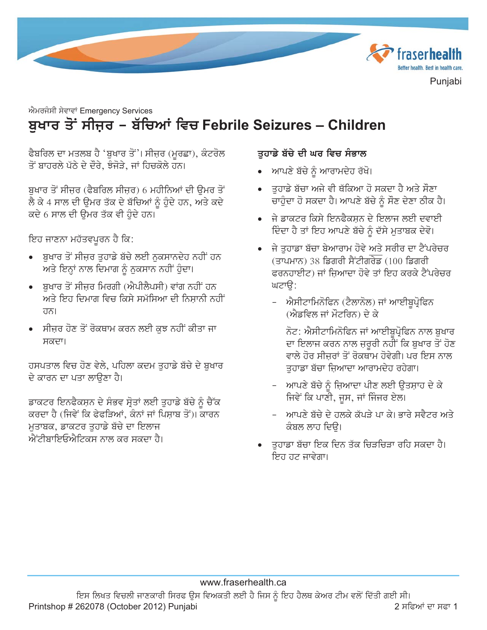

# ਐਮਰਜੰਸੀ ਸੇਵਾਵਾਂ Emergency Services ਬੁਖਾਰ ਤੋਂ ਸੀਜ਼ਰ – ਬੱਚਿਆਂ ਵਿਚ Febrile Seizures – Children

ਫੈਬਰਿਲ ਦਾ ਮਤਲਬ ਹੈ 'ਬੁਖਾਰ ਤੋਂ'। ਸੀਜ਼ਰ (ਮੁਰਛਾ), ਕੰਟਰੋਲ ਤੋਂ ਬਾਹਰਲੇ ਪੱਠੇ ਦੇ ਦੌਰੇ. ਝੰਜੋੜੇ. ਜਾਂ ਹਿਚਕੋਲੇ ਹਨ।

ਬਖਾਰ ਤੋਂ ਸੀਜ਼ਰ (ਫੈਬਰਿਲ ਸੀਜ਼ਰ) 6 ਮਹੀਨਿਆਂ ਦੀ ੳਮਰ ਤੋਂ ਲੈ ਕੇ 4 ਸਾਲ ਦੀ ਉਮਰ ਤੱਕ ਦੇ ਬੱਚਿਆਂ ਨੂੰ ਹੁੰਦੇ ਹਨ, ਅਤੇ ਕਦੇ ਕਦੇ 6 ਸਾਲ ਦੀ ਉਮਰ ਤੱਕ ਵੀ ਹੋਦੇ ਹਨ।

ਇਹ ਜਾਣਨਾ ਮਹੱਤਵਪੂਰਨ ਹੈ ਕਿ:

- ਬਖਾਰ ਤੋਂ ਸੀਜਰ ਤਹਾਡੇ ਬੱਚੇ ਲਈ ਨਕਸਾਨਦੇਹ ਨਹੀਂ ਹਨ ਅਤੇ ਇਨ੍ਹਾਂ ਨਾਲ ਦਿਮਾਗ ਨੂੰ ਨਕਸਾਨ ਨਹੀਂ ਹੁੰਦਾ।
- ਬਖਾਰ ਤੋਂ ਸੀਜ਼ਰ ਮਿਰਗੀ (ਐਪੀਲੈਪਸੀ) ਵਾਂਗ ਨਹੀਂ ਹਨ ਅਤੇ ਇਹ ਦਿਮਾਗ ਵਿਚ ਕਿਸੇ ਸਮੱਸਿਆ ਦੀ ਨਿਸ਼ਾਨੀ ਨਹੀਂ ਹਨ।
- ਸੀਜ਼ਰ ਹੋਣ ਤੋਂ ਰੋਕਥਾਮ ਕਰਨ ਲਈ ਕੁਝ ਨਹੀਂ ਕੀਤਾ ਜਾ ਸਕਦਾ।

ਹਸਪਤਾਲ ਵਿਚ ਹੋਣ ਵੇਲੇ, ਪਹਿਲਾ ਕਦਮ ਤੁਹਾਡੇ ਬੱਚੇ ਦੇ ਬਖਾਰ ਦੇ ਕਾਰਨ ਦਾ ਪਤਾ ਲਾੳਣਾ ਹੈ।

ਡਾਕਟਰ ਇਨਫੈਕਸ਼ਨ ਦੇ ਸੰਭਵ ਸ੍ਰੋਤਾਂ ਲਈ ਤੁਹਾਡੇ ਬੱਚੇ ਨੂੰ ਚੈੱਕ ਕਰਦਾ ਹੈ (ਜਿਵੇਂ ਕਿ ਫੇਫੜਿਆਂ, ਕੰਨਾਂ ਜਾਂ ਪਿਸਾਬ ਤੋਂ)। ਕਾਰਨ ਮਤਾਬਕ, ਡਾਕਟਰ ਤਹਾਡੇ ਬੱਚੇ ਦਾ ਇਲਾਜ ਐਂਟੀਬਾਇਓਐਟਿਕਸ ਨਾਲ ਕਰ ਸਕਦਾ ਹੈ।

#### ਤੁਹਾਡੇ ਬੱਚੇ ਦੀ ਘਰ ਵਿਚ ਸੰਭਾਲ

- ਆਪਣੇ ਬੱਚੇ ਨੂੰ ਆਰਾਮਦੇਹ ਰੱਖੋ।
- ਤਹਾਡੇ ਬੱਚਾ ਅਜੇ ਵੀ ਥੱਕਿਆ ਹੋ ਸਕਦਾ ਹੈ ਅਤੇ ਸੌਣਾ ਚਾਹੰਦਾ ਹੋ ਸਕਦਾ ਹੈ। ਆਪਣੇ ਬੱਚੇ ਨੰ ਸੌਣ ਦੇਣਾ ਠੀਕ ਹੈ।
- ਜੇ ਡਾਕਟਰ ਕਿਸੇ ਇਨਫੈਕਸਨ ਦੇ ਇਲਾਜ ਲਈ ਦਵਾਈ ਦਿੰਦਾ ਹੈ ਤਾਂ ਇਹ ਆਪਣੇ ਬੱਚੇ ਨੂੰ ਦੱਸੇ ਮੁਤਾਬਕ ਦੇਵੋ।
- ਜੇ ਤਹਾਡਾ ਬੱਚਾ ਬੇਆਰਾਮ ਹੋਵੇ ਅਤੇ ਸਰੀਰ ਦਾ ਟੈਂਪਰੇਚਰ (ਤਾਪਮਾਨ) 38 ਡਿਗਰੀ ਸੈਂਟੀਗਰੇਡ (100 ਡਿਗਰੀ ਫਰਨਹਾਈਟ) ਜਾਂ ਜਿਆਦਾ ਹੋਵੇ ਤਾਂ ਇਹ ਕਰਕੇ ਟੈਂਪਰੇਚਰ ਘਟਾੳ:
	- ਐਸੀਟਾਮਿਨੋਫਿਨ (ਟੈਲਾਨੋਲ) ਜਾਂ ਆਈਬਪ੍ਰੋਫਿਨ (ਐਡਵਿਲ ਜਾਂ ਮੌਟਰਿਨ) ਦੇ ਕੇ
		- ਨੋਟ: ਐਸੀਟਾਮਿਨੋਫਿਨ ਜਾਂ ਆਈਬੁਪ੍ਰੋਫਿਨ ਨਾਲ ਬੁਖਾਰ ਦਾ ਇਲਾਜ ਕਰਨ ਨਾਲ ਜ਼ਰੂਰੀ ਨਹੀਂ ਕਿ ਬੁਖਾਰ ਤੋਂ ਹੋਣ ਵਾਲੇ ਹੋਰ ਸੀਜਰਾਂ ਤੋਂ ਰੋਕਥਾਮ ਹੋਵੇਗੀ। ਪਰ ਇਸ ਨਾਲ ਤਹਾਡਾ ਬੱਚਾ ਜ਼ਿਆਦਾ ਆਰਾਮਦੇਹ ਰਹੇਗਾ।
	- ਆਪਣੇ ਬੱਚੇ ਨੂੰ ਜ਼ਿਆਦਾ ਪੀਣ ਲਈ ਉਤਸ਼ਾਹ ਦੇ ਕੇ ਜਿਵੇਂ ਕਿ ਪਾਣੀ, ਜੂਸ, ਜਾਂ ਜਿੰਜਰ ਏਲ।
	- ਆਪਣੇ ਬੱਚੇ ਦੇ ਹਲਕੇ ਕੱਪੜੇ ਪਾ ਕੇ। ਭਾਰੇ ਸਵੈਟਰ ਅਤੇ ਕੰਬਲ ਲਾਹ ਦਿੳ।
- ਤਹਾਡਾ ਬੱਚਾ ਇਕ ਦਿਨ ਤੱਕ ਚਿੜਚਿੜਾ ਰਹਿ ਸਕਦਾ ਹੈ। ਇਹ ਹਟ ਜਾਵੇਗਾ।

#### www.fraserhealth.ca

ਇਸ ਲਿਖਤ ਵਿਚਲੀ ਜਾਣਕਾਰੀ ਸਿਰਫ ੳਸ ਵਿਅਕਤੀ ਲਈ ਹੈ ਜਿਸ ਨੂੰ ਇਹ ਹੈਲਥ ਕੇਅਰ ਟੀਮ ਵਲੋਂ ਦਿੱਤੀ ਗਈ ਸੀ। Printshop # 262078 (October 2012) Punjabi 2 ਸਫਿਆਂ ਦਾ ਸਫਾ 1